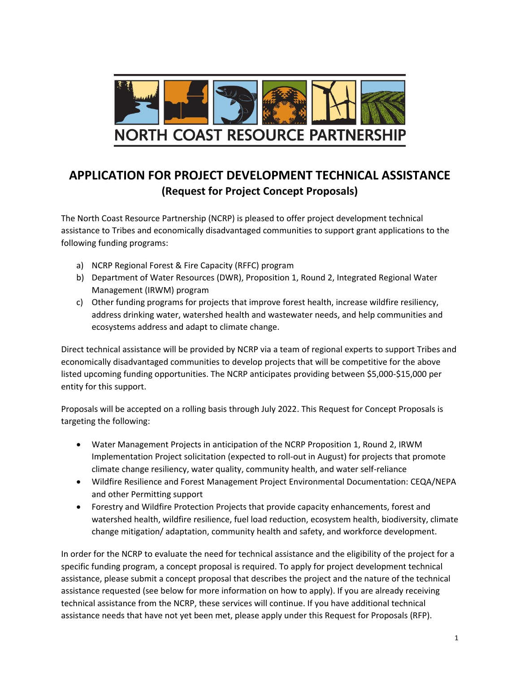

# **APPLICATION FOR PROJECT DEVELOPMENT TECHNICAL ASSISTANCE (Request for Project Concept Proposals)**

The North Coast Resource Partnership (NCRP) is pleased to offer project development technical assistance to Tribes and economically disadvantaged communities to support grant applications to the following funding programs:

- a) NCRP Regional Forest & Fire Capacity (RFFC) program
- b) Department of Water Resources (DWR), Proposition 1, Round 2, Integrated Regional Water Management (IRWM) program
- c) Other funding programs for projects that improve forest health, increase wildfire resiliency, address drinking water, watershed health and wastewater needs, and help communities and ecosystems address and adapt to climate change.

Direct technical assistance will be provided by NCRP via a team of regional experts to support Tribes and economically disadvantaged communities to develop projects that will be competitive for the above listed upcoming funding opportunities. The NCRP anticipates providing between \$5,000-\$15,000 per entity for this support.

Proposals will be accepted on a rolling basis through July 2022. This Request for Concept Proposals is targeting the following:

- Water Management Projects in anticipation of the NCRP Proposition 1, Round 2, IRWM Implementation Project solicitation (expected to roll-out in August) for projects that promote climate change resiliency, water quality, community health, and water self-reliance
- Wildfire Resilience and Forest Management Project Environmental Documentation: CEQA/NEPA and other Permitting support
- Forestry and Wildfire Protection Projects that provide capacity enhancements, forest and watershed health, wildfire resilience, fuel load reduction, ecosystem health, biodiversity, climate change mitigation/ adaptation, community health and safety, and workforce development.

In order for the NCRP to evaluate the need for technical assistance and the eligibility of the project for a specific funding program, a concept proposal is required. To apply for project development technical assistance, please submit a concept proposal that describes the project and the nature of the technical assistance requested (see below for more information on how to apply). If you are already receiving technical assistance from the NCRP, these services will continue. If you have additional technical assistance needs that have not yet been met, please apply under this Request for Proposals (RFP).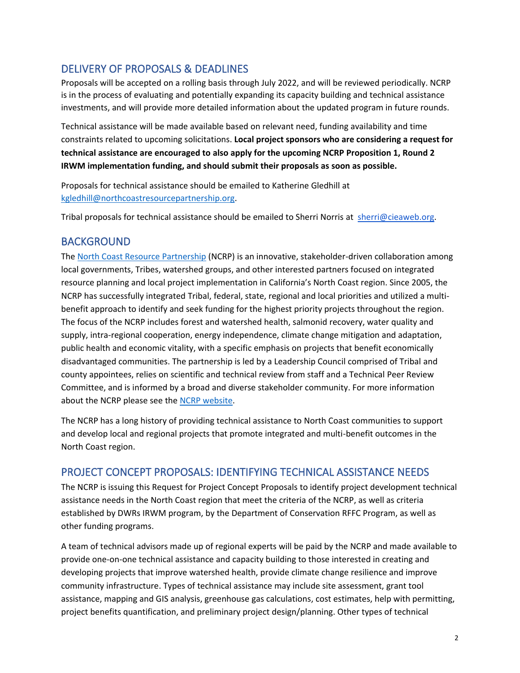## DELIVERY OF PROPOSALS & DEADLINES

Proposals will be accepted on a rolling basis through July 2022, and will be reviewed periodically. NCRP is in the process of evaluating and potentially expanding its capacity building and technical assistance investments, and will provide more detailed information about the updated program in future rounds.

Technical assistance will be made available based on relevant need, funding availability and time constraints related to upcoming solicitations. **Local project sponsors who are considering a request for technical assistance are encouraged to also apply for the upcoming NCRP Proposition 1, Round 2 IRWM implementation funding, and should submit their proposals as soon as possible.** 

Proposals for technical assistance should be emailed to Katherine Gledhill at [kgledhill@northcoastresourcepartnership.org.](mailto:kgledhill@northcoastresourcepartnership.org)

Tribal proposals for technical assistance should be emailed to Sherri Norris at [sherri@cieaweb.org.](mailto:sherri@cieaweb.org)

### BACKGROUND

The [North Coast Resource Partnership](https://northcoastresourcepartnership.org/) (NCRP) is an innovative, stakeholder-driven collaboration among local governments, Tribes, watershed groups, and other interested partners focused on integrated resource planning and local project implementation in California's North Coast region. Since 2005, the NCRP has successfully integrated Tribal, federal, state, regional and local priorities and utilized a multibenefit approach to identify and seek funding for the highest priority projects throughout the region. The focus of the NCRP includes forest and watershed health, salmonid recovery, water quality and supply, intra-regional cooperation, energy independence, climate change mitigation and adaptation, public health and economic vitality, with a specific emphasis on projects that benefit economically disadvantaged communities. The partnership is led by a Leadership Council comprised of Tribal and county appointees, relies on scientific and technical review from staff and a Technical Peer Review Committee, and is informed by a broad and diverse stakeholder community. For more information about the NCRP please see the [NCRP website.](https://northcoastresourcepartnership.org/)

The NCRP has a long history of providing technical assistance to North Coast communities to support and develop local and regional projects that promote integrated and multi-benefit outcomes in the North Coast region.

### PROJECT CONCEPT PROPOSALS: IDENTIFYING TECHNICAL ASSISTANCE NEEDS

The NCRP is issuing this Request for Project Concept Proposals to identify project development technical assistance needs in the North Coast region that meet the criteria of the NCRP, as well as criteria established by DWRs IRWM program, by the Department of Conservation RFFC Program, as well as other funding programs.

A team of technical advisors made up of regional experts will be paid by the NCRP and made available to provide one-on-one technical assistance and capacity building to those interested in creating and developing projects that improve watershed health, provide climate change resilience and improve community infrastructure. Types of technical assistance may include site assessment, grant tool assistance, mapping and GIS analysis, greenhouse gas calculations, cost estimates, help with permitting, project benefits quantification, and preliminary project design/planning. Other types of technical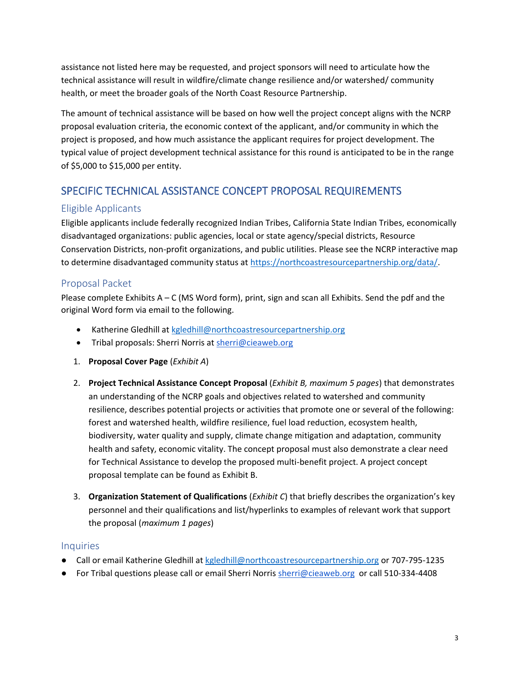assistance not listed here may be requested, and project sponsors will need to articulate how the technical assistance will result in wildfire/climate change resilience and/or watershed/ community health, or meet the broader goals of the North Coast Resource Partnership.

The amount of technical assistance will be based on how well the project concept aligns with the NCRP proposal evaluation criteria, the economic context of the applicant, and/or community in which the project is proposed, and how much assistance the applicant requires for project development. The typical value of project development technical assistance for this round is anticipated to be in the range of \$5,000 to \$15,000 per entity.

## SPECIFIC TECHNICAL ASSISTANCE CONCEPT PROPOSAL REQUIREMENTS

#### Eligible Applicants

Eligible applicants include federally recognized Indian Tribes, California State Indian Tribes, economically disadvantaged organizations: public agencies, local or state agency/special districts, Resource Conservation Districts, non-profit organizations, and public utilities. Please see the NCRP interactive map to determine disadvantaged community status at [https://northcoastresourcepartnership.org/data/.](https://northcoastresourcepartnership.org/data/)

### Proposal Packet

Please complete Exhibits A – C (MS Word form), print, sign and scan all Exhibits. Send the pdf and the original Word form via email to the following.

- Katherine Gledhill at [kgledhill@northcoastresourcepartnership.org](mailto:kgledhill@northcoastresourcepartnership.org)
- Tribal proposals: Sherri Norris at sherri@cieaweb.org
- 1. **Proposal Cover Page** (*Exhibit A*)
- 2. **Project Technical Assistance Concept Proposal** (*Exhibit B, maximum 5 pages*) that demonstrates an understanding of the NCRP goals and objectives related to watershed and community resilience, describes potential projects or activities that promote one or several of the following: forest and watershed health, wildfire resilience, fuel load reduction, ecosystem health, biodiversity, water quality and supply, climate change mitigation and adaptation, community health and safety, economic vitality. The concept proposal must also demonstrate a clear need for Technical Assistance to develop the proposed multi-benefit project. A project concept proposal template can be found as Exhibit B.
- 3. **Organization Statement of Qualifications** (*Exhibit C*) that briefly describes the organization's key personnel and their qualifications and list/hyperlinks to examples of relevant work that support the proposal (*maximum 1 pages*)

#### **Inquiries**

- Call or email Katherine Gledhill at [kgledhill@northcoastresourcepartnership.org](mailto:kgledhill@northcoastresourcepartnership.org) or 707-795-1235
- For Tribal questions please call or email Sherri Norri[s sherri@cieaweb.org or call 510-334-4408](mailto:sherri@cieaweb.org)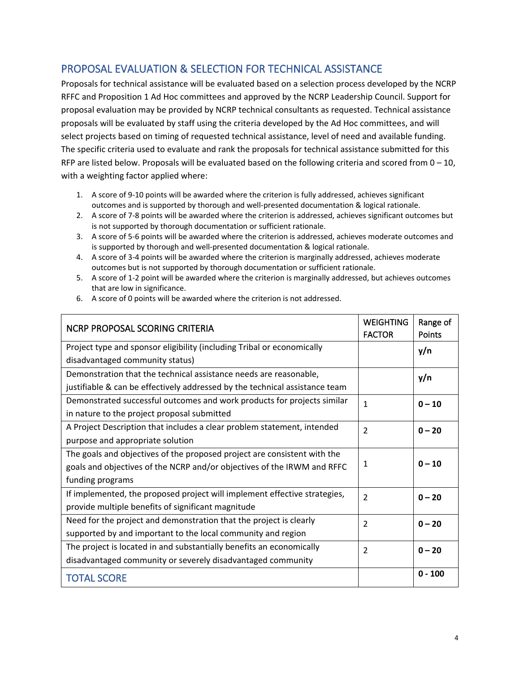### PROPOSAL EVALUATION & SELECTION FOR TECHNICAL ASSISTANCE

Proposals for technical assistance will be evaluated based on a selection process developed by the NCRP RFFC and Proposition 1 Ad Hoc committees and approved by the NCRP Leadership Council. Support for proposal evaluation may be provided by NCRP technical consultants as requested. Technical assistance proposals will be evaluated by staff using the criteria developed by the Ad Hoc committees, and will select projects based on timing of requested technical assistance, level of need and available funding. The specific criteria used to evaluate and rank the proposals for technical assistance submitted for this RFP are listed below. Proposals will be evaluated based on the following criteria and scored from  $0 - 10$ , with a weighting factor applied where:

- 1. A score of 9-10 points will be awarded where the criterion is fully addressed, achieves significant outcomes and is supported by thorough and well-presented documentation & logical rationale.
- 2. A score of 7-8 points will be awarded where the criterion is addressed, achieves significant outcomes but is not supported by thorough documentation or sufficient rationale.
- 3. A score of 5-6 points will be awarded where the criterion is addressed, achieves moderate outcomes and is supported by thorough and well-presented documentation & logical rationale.
- 4. A score of 3-4 points will be awarded where the criterion is marginally addressed, achieves moderate outcomes but is not supported by thorough documentation or sufficient rationale.
- 5. A score of 1-2 point will be awarded where the criterion is marginally addressed, but achieves outcomes that are low in significance.

| NCRP PROPOSAL SCORING CRITERIA                                              | <b>WEIGHTING</b><br><b>FACTOR</b> | Range of<br>Points |
|-----------------------------------------------------------------------------|-----------------------------------|--------------------|
| Project type and sponsor eligibility (including Tribal or economically      |                                   | y/n                |
| disadvantaged community status)                                             |                                   |                    |
| Demonstration that the technical assistance needs are reasonable,           |                                   | y/n                |
| justifiable & can be effectively addressed by the technical assistance team |                                   |                    |
| Demonstrated successful outcomes and work products for projects similar     | $\mathbf{1}$                      | $0 - 10$           |
| in nature to the project proposal submitted                                 |                                   |                    |
| A Project Description that includes a clear problem statement, intended     | 2                                 | $0 - 20$           |
| purpose and appropriate solution                                            |                                   |                    |
| The goals and objectives of the proposed project are consistent with the    | 1                                 |                    |
| goals and objectives of the NCRP and/or objectives of the IRWM and RFFC     |                                   | $0 - 10$           |
| funding programs                                                            |                                   |                    |
| If implemented, the proposed project will implement effective strategies,   | $\mathcal{P}$                     | $0 - 20$           |
| provide multiple benefits of significant magnitude                          |                                   |                    |
| Need for the project and demonstration that the project is clearly          | $\overline{2}$                    | $0 - 20$           |
| supported by and important to the local community and region                |                                   |                    |
| The project is located in and substantially benefits an economically        | $\mathcal{P}$                     | $0 - 20$           |
| disadvantaged community or severely disadvantaged community                 |                                   |                    |
| <b>TOTAL SCORE</b>                                                          |                                   | $0 - 100$          |

6. A score of 0 points will be awarded where the criterion is not addressed.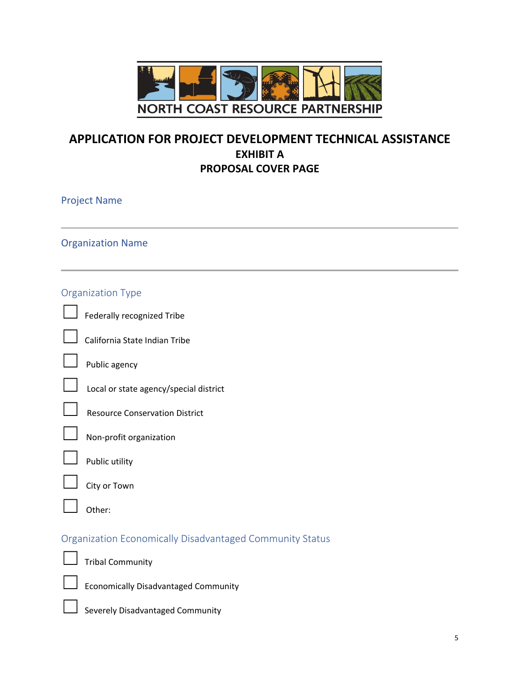

## **APPLICATION FOR PROJECT DEVELOPMENT TECHNICAL ASSISTANCE EXHIBIT A PROPOSAL COVER PAGE**

| <b>Project Name</b> |                                                          |
|---------------------|----------------------------------------------------------|
|                     | <b>Organization Name</b>                                 |
|                     | <b>Organization Type</b>                                 |
|                     | Federally recognized Tribe                               |
|                     | California State Indian Tribe                            |
|                     | Public agency                                            |
|                     | Local or state agency/special district                   |
|                     | <b>Resource Conservation District</b>                    |
|                     | Non-profit organization                                  |
|                     | Public utility                                           |
|                     | City or Town                                             |
|                     | Other:                                                   |
|                     | Organization Economically Disadvantaged Community Status |
|                     | <b>Tribal Community</b>                                  |
|                     | <b>Economically Disadvantaged Community</b>              |
|                     | Severely Disadvantaged Community                         |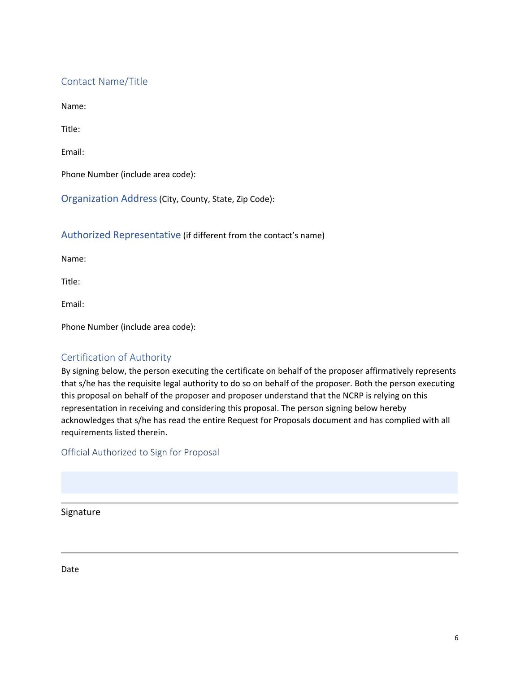### Contact Name/Title

Name:

Title:

Email:

Phone Number (include area code):

Organization Address(City, County, State, Zip Code):

#### Authorized Representative (if different from the contact's name)

Name:

Title:

Email:

Phone Number (include area code):

#### Certification of Authority

By signing below, the person executing the certificate on behalf of the proposer affirmatively represents that s/he has the requisite legal authority to do so on behalf of the proposer. Both the person executing this proposal on behalf of the proposer and proposer understand that the NCRP is relying on this representation in receiving and considering this proposal. The person signing below hereby acknowledges that s/he has read the entire Request for Proposals document and has complied with all requirements listed therein.

Official Authorized to Sign for Proposal

Signature

Date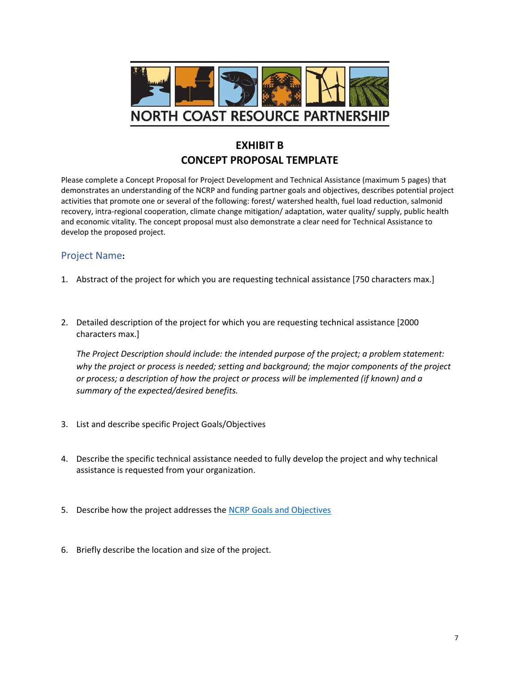

## **EXHIBIT B CONCEPT PROPOSAL TEMPLATE**

Please complete a Concept Proposal for Project Development and Technical Assistance (maximum 5 pages) that demonstrates an understanding of the NCRP and funding partner goals and objectives, describes potential project activities that promote one or several of the following: forest/ watershed health, fuel load reduction, salmonid recovery, intra-regional cooperation, climate change mitigation/ adaptation, water quality/ supply, public health and economic vitality. The concept proposal must also demonstrate a clear need for Technical Assistance to develop the proposed project.

#### Project Name**:**

- 1. Abstract of the project for which you are requesting technical assistance [750 characters max.]
- 2. Detailed description of the project for which you are requesting technical assistance [2000 characters max.]

*The Project Description should include: the intended purpose of the project; a problem statement: why the project or process is needed; setting and background; the major components of the project or process; a description of how the project or process will be implemented (if known) and a summary of the expected/desired benefits.*

- 3. List and describe specific Project Goals/Objectives
- 4. Describe the specific technical assistance needed to fully develop the project and why technical assistance is requested from your organization.
- 5. Describe how the project addresses the NCRP [Goals and Objectives](https://northcoastresourcepartnership.org/partnership/)
- 6. Briefly describe the location and size of the project.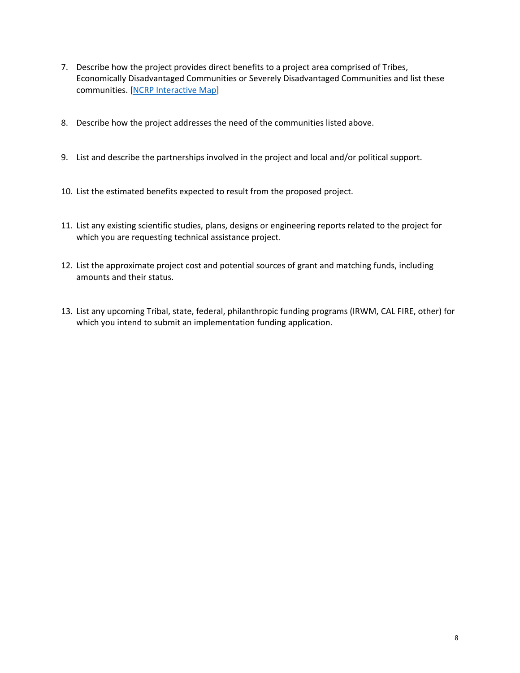- 7. Describe how the project provides direct benefits to a project area comprised of Tribes, Economically Disadvantaged Communities or Severely Disadvantaged Communities and list these communities. [\[NCRP Interactive Map\]](https://northcoastresourcepartnership.org/data/)
- 8. Describe how the project addresses the need of the communities listed above.
- 9. List and describe the partnerships involved in the project and local and/or political support.
- 10. List the estimated benefits expected to result from the proposed project.
- 11. List any existing scientific studies, plans, designs or engineering reports related to the project for which you are requesting technical assistance project.
- 12. List the approximate project cost and potential sources of grant and matching funds, including amounts and their status.
- 13. List any upcoming Tribal, state, federal, philanthropic funding programs (IRWM, CAL FIRE, other) for which you intend to submit an implementation funding application.